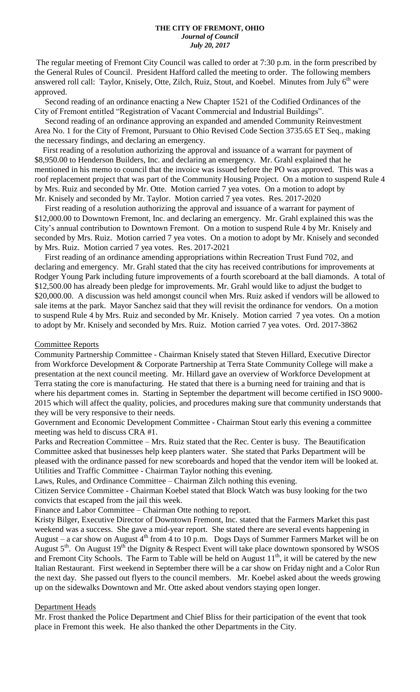The regular meeting of Fremont City Council was called to order at 7:30 p.m. in the form prescribed by the General Rules of Council. President Hafford called the meeting to order. The following members answered roll call: Taylor, Knisely, Otte, Zilch, Ruiz, Stout, and Koebel. Minutes from July 6<sup>th</sup> were approved.

 Second reading of an ordinance enacting a New Chapter 1521 of the Codified Ordinances of the City of Fremont entitled "Registration of Vacant Commercial and Industrial Buildings".

 Second reading of an ordinance approving an expanded and amended Community Reinvestment Area No. 1 for the City of Fremont, Pursuant to Ohio Revised Code Section 3735.65 ET Seq., making the necessary findings, and declaring an emergency.

 First reading of a resolution authorizing the approval and issuance of a warrant for payment of \$8,950.00 to Henderson Builders, Inc. and declaring an emergency. Mr. Grahl explained that he mentioned in his memo to council that the invoice was issued before the PO was approved. This was a roof replacement project that was part of the Community Housing Project. On a motion to suspend Rule 4 by Mrs. Ruiz and seconded by Mr. Otte. Motion carried 7 yea votes. On a motion to adopt by Mr. Knisely and seconded by Mr. Taylor. Motion carried 7 yea votes. Res. 2017-2020

 First reading of a resolution authorizing the approval and issuance of a warrant for payment of \$12,000.00 to Downtown Fremont, Inc. and declaring an emergency. Mr. Grahl explained this was the City's annual contribution to Downtown Fremont. On a motion to suspend Rule 4 by Mr. Knisely and seconded by Mrs. Ruiz. Motion carried 7 yea votes. On a motion to adopt by Mr. Knisely and seconded by Mrs. Ruiz. Motion carried 7 yea votes. Res. 2017-2021

 First reading of an ordinance amending appropriations within Recreation Trust Fund 702, and declaring and emergency. Mr. Grahl stated that the city has received contributions for improvements at Rodger Young Park including future improvements of a fourth scoreboard at the ball diamonds. A total of \$12,500.00 has already been pledge for improvements. Mr. Grahl would like to adjust the budget to \$20,000.00. A discussion was held amongst council when Mrs. Ruiz asked if vendors will be allowed to sale items at the park. Mayor Sanchez said that they will revisit the ordinance for vendors. On a motion to suspend Rule 4 by Mrs. Ruiz and seconded by Mr. Knisely. Motion carried 7 yea votes. On a motion to adopt by Mr. Knisely and seconded by Mrs. Ruiz. Motion carried 7 yea votes. Ord. 2017-3862

### Committee Reports

Community Partnership Committee - Chairman Knisely stated that Steven Hillard, Executive Director from Workforce Development & Corporate Partnership at Terra State Community College will make a presentation at the next council meeting. Mr. Hillard gave an overview of Workforce Development at Terra stating the core is manufacturing. He stated that there is a burning need for training and that is where his department comes in. Starting in September the department will become certified in ISO 9000-2015 which will affect the quality, policies, and procedures making sure that community understands that they will be very responsive to their needs.

Government and Economic Development Committee - Chairman Stout early this evening a committee meeting was held to discuss CRA #1.

Parks and Recreation Committee – Mrs. Ruiz stated that the Rec. Center is busy. The Beautification Committee asked that businesses help keep planters water. She stated that Parks Department will be pleased with the ordinance passed for new scoreboards and hoped that the vendor item will be looked at. Utilities and Traffic Committee - Chairman Taylor nothing this evening.

Laws, Rules, and Ordinance Committee – Chairman Zilch nothing this evening.

Citizen Service Committee - Chairman Koebel stated that Block Watch was busy looking for the two convicts that escaped from the jail this week.

Finance and Labor Committee – Chairman Otte nothing to report.

Kristy Bilger, Executive Director of Downtown Fremont, Inc. stated that the Farmers Market this past weekend was a success. She gave a mid-year report. She stated there are several events happening in August – a car show on August  $4<sup>th</sup>$  from 4 to 10 p.m. Dogs Days of Summer Farmers Market will be on August 5<sup>th</sup>. On August 19<sup>th</sup> the Dignity & Respect Event will take place downtown sponsored by WSOS and Fremont City Schools. The Farm to Table will be held on August  $11<sup>th</sup>$ , it will be catered by the new Italian Restaurant. First weekend in September there will be a car show on Friday night and a Color Run the next day. She passed out flyers to the council members. Mr. Koebel asked about the weeds growing up on the sidewalks Downtown and Mr. Otte asked about vendors staying open longer.

### Department Heads

Mr. Frost thanked the Police Department and Chief Bliss for their participation of the event that took place in Fremont this week. He also thanked the other Departments in the City.